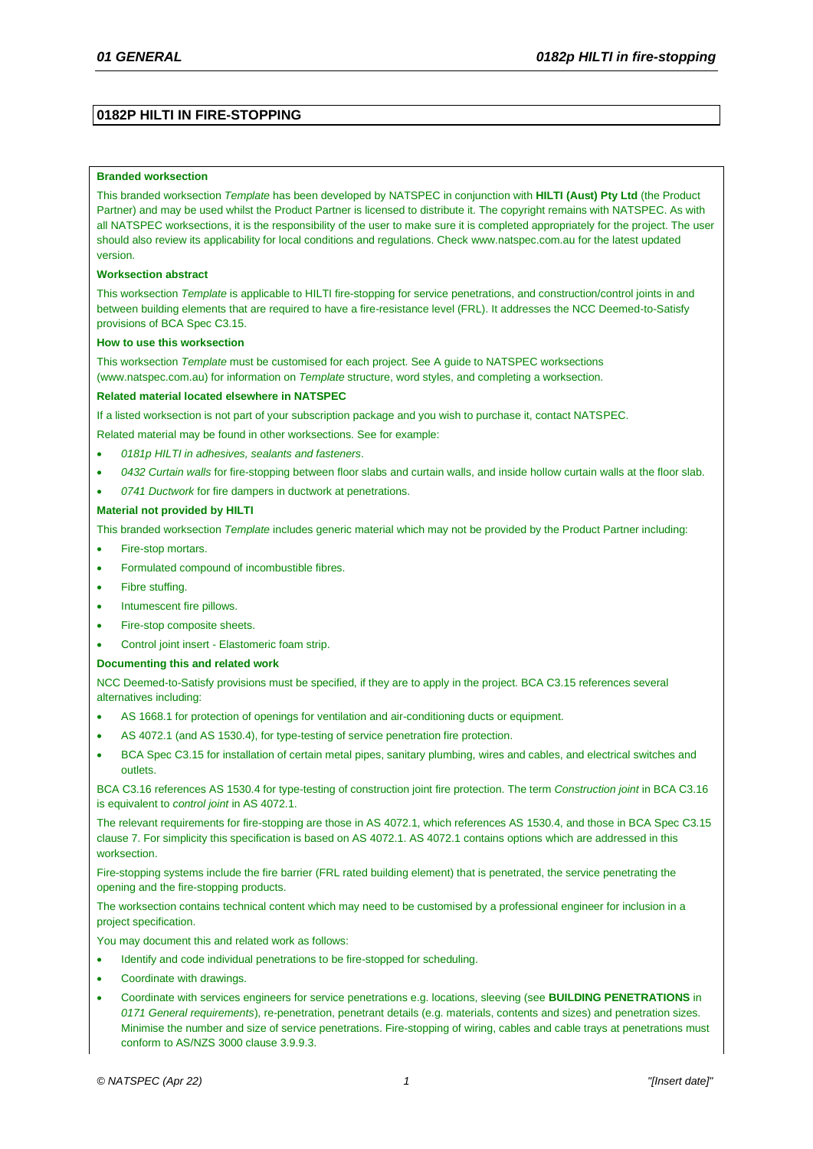# **0182P HILTI IN FIRE-STOPPING**

### **Branded worksection**

This branded worksection *Template* has been developed by NATSPEC in conjunction with **HILTI (Aust) Pty Ltd** (the Product Partner) and may be used whilst the Product Partner is licensed to distribute it. The copyright remains with NATSPEC. As with all NATSPEC worksections, it is the responsibility of the user to make sure it is completed appropriately for the project. The user should also review its applicability for local conditions and regulations. Check [www.natspec.com.au](http://www.natspec.com.au/) for the latest updated version.

### **Worksection abstract**

This worksection *Template* is applicable to HILTI fire-stopping for service penetrations, and construction/control joints in and between building elements that are required to have a fire-resistance level (FRL). It addresses the NCC Deemed-to-Satisfy provisions of BCA Spec C3.15.

#### **How to use this worksection**

This worksection *Template* must be customised for each project. Se[e A guide to NATSPEC worksections](https://www.natspec.com.au/a-guide-to-natspec-worksections) [\(www.natspec.com.au\)](https://www.natspec.com.au/a-guide-to-natspec-worksections) for information on *Template* structure, word styles, and completing a worksection.

### **Related material located elsewhere in NATSPEC**

If a listed worksection is not part of your subscription package and you wish to purchase it, contact NATSPEC.

Related material may be found in other worksections. See for example:

- *0181p HILTI in adhesives, sealants and fasteners*.
- *0432 Curtain walls* for fire-stopping between floor slabs and curtain walls, and inside hollow curtain walls at the floor slab.
- *0741 Ductwork* for fire dampers in ductwork at penetrations.

### **Material not provided by HILTI**

This branded worksection *Template* includes generic material which may not be provided by the Product Partner including:

- Fire-stop mortars
- Formulated compound of incombustible fibres.
- Fibre stuffing.
- Intumescent fire pillows.
- Fire-stop composite sheets.
- Control joint insert Elastomeric foam strip.

### **Documenting this and related work**

NCC Deemed-to-Satisfy provisions must be specified, if they are to apply in the project. BCA C3.15 references several alternatives including:

- AS 1668.1 for protection of openings for ventilation and air-conditioning ducts or equipment.
- AS 4072.1 (and AS 1530.4), for type-testing of service penetration fire protection.
- BCA Spec C3.15 for installation of certain metal pipes, sanitary plumbing, wires and cables, and electrical switches and outlets.

BCA C3.16 references AS 1530.4 for type-testing of construction joint fire protection. The term *Construction joint* in BCA C3.16 is equivalent to *control joint* in AS 4072.1.

The relevant requirements for fire-stopping are those in AS 4072.1, which references AS 1530.4, and those in BCA Spec C3.15 clause 7. For simplicity this specification is based on AS 4072.1. AS 4072.1 contains options which are addressed in this worksection.

Fire-stopping systems include the fire barrier (FRL rated building element) that is penetrated, the service penetrating the opening and the fire-stopping products.

The worksection contains technical content which may need to be customised by a professional engineer for inclusion in a project specification.

You may document this and related work as follows:

- Identify and code individual penetrations to be fire-stopped for scheduling.
- Coordinate with drawings.
- Coordinate with services engineers for service penetrations e.g. locations, sleeving (see **BUILDING PENETRATIONS** in *0171 General requirements*), re-penetration, penetrant details (e.g. materials, contents and sizes) and penetration sizes. Minimise the number and size of service penetrations. Fire-stopping of wiring, cables and cable trays at penetrations must conform to AS/NZS 3000 clause 3.9.9.3.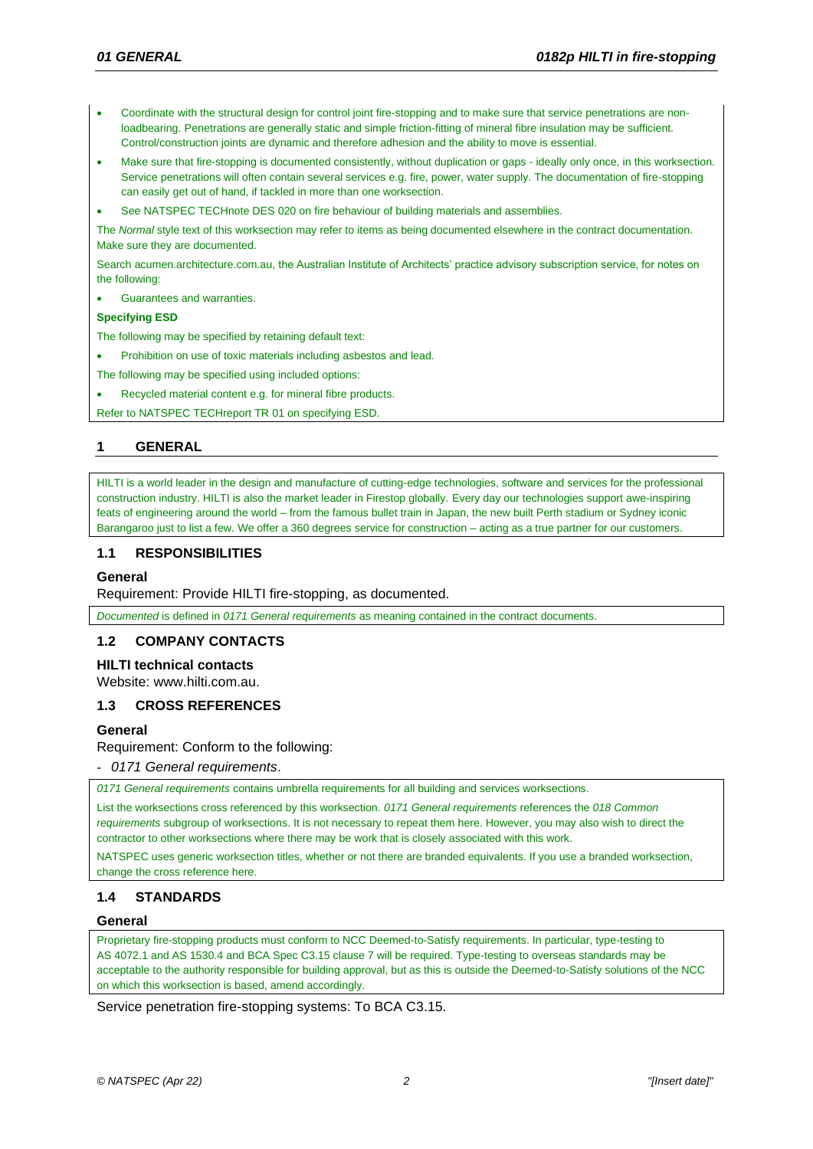- Coordinate with the structural design for control joint fire-stopping and to make sure that service penetrations are nonloadbearing. Penetrations are generally static and simple friction-fitting of mineral fibre insulation may be sufficient. Control/construction joints are dynamic and therefore adhesion and the ability to move is essential.
- Make sure that fire-stopping is documented consistently, without duplication or gaps ideally only once, in this worksection. Service penetrations will often contain several services e.g. fire, power, water supply. The documentation of fire-stopping can easily get out of hand, if tackled in more than one worksection.
- See NATSPEC TECHnote DES 020 on fire behaviour of building materials and assemblies.

The *Normal* style text of this worksection may refer to items as being documented elsewhere in the contract documentation. Make sure they are documented.

Searc[h acumen.architecture.com.au,](http://acumen.architecture.com.au/) the Australian Institute of Architects' practice advisory subscription service, for notes on the following:

Guarantees and warranties.

### **Specifying ESD**

The following may be specified by retaining default text:

- Prohibition on use of toxic materials including asbestos and lead.
- The following may be specified using included options:
- Recycled material content e.g. for mineral fibre products.

Refer to NATSPEC TECHreport TR 01 on specifying ESD.

# **1 GENERAL**

HILTI is a world leader in the design and manufacture of cutting-edge technologies, software and services for the professional construction industry. HILTI is also the market leader in Firestop globally. Every day our technologies support awe-inspiring feats of engineering around the world – from the famous bullet train in Japan, the new built Perth stadium or Sydney iconic Barangaroo just to list a few. We offer a 360 degrees service for construction – acting as a true partner for our customers.

# **1.1 RESPONSIBILITIES**

### **General**

Requirement: Provide HILTI fire-stopping, as documented.

*Documented* is defined in *0171 General requirements* as meaning contained in the contract documents.

### **1.2 COMPANY CONTACTS**

# **HILTI technical contacts**

Website: [www.hilti.com.au.](http://www.hilti.com.au/)

### **1.3 CROSS REFERENCES**

### **General**

Requirement: Conform to the following:

- *0171 General requirements*.

*0171 General requirements* contains umbrella requirements for all building and services worksections.

List the worksections cross referenced by this worksection. *0171 General requirements* references the *018 Common requirements* subgroup of worksections. It is not necessary to repeat them here. However, you may also wish to direct the contractor to other worksections where there may be work that is closely associated with this work.

NATSPEC uses generic worksection titles, whether or not there are branded equivalents. If you use a branded worksection, change the cross reference here.

# **1.4 STANDARDS**

### **General**

Proprietary fire-stopping products must conform to NCC Deemed-to-Satisfy requirements. In particular, type-testing to AS 4072.1 and AS 1530.4 and BCA Spec C3.15 clause 7 will be required. Type-testing to overseas standards may be acceptable to the authority responsible for building approval, but as this is outside the Deemed-to-Satisfy solutions of the NCC on which this worksection is based, amend accordingly.

Service penetration fire-stopping systems: To BCA C3.15.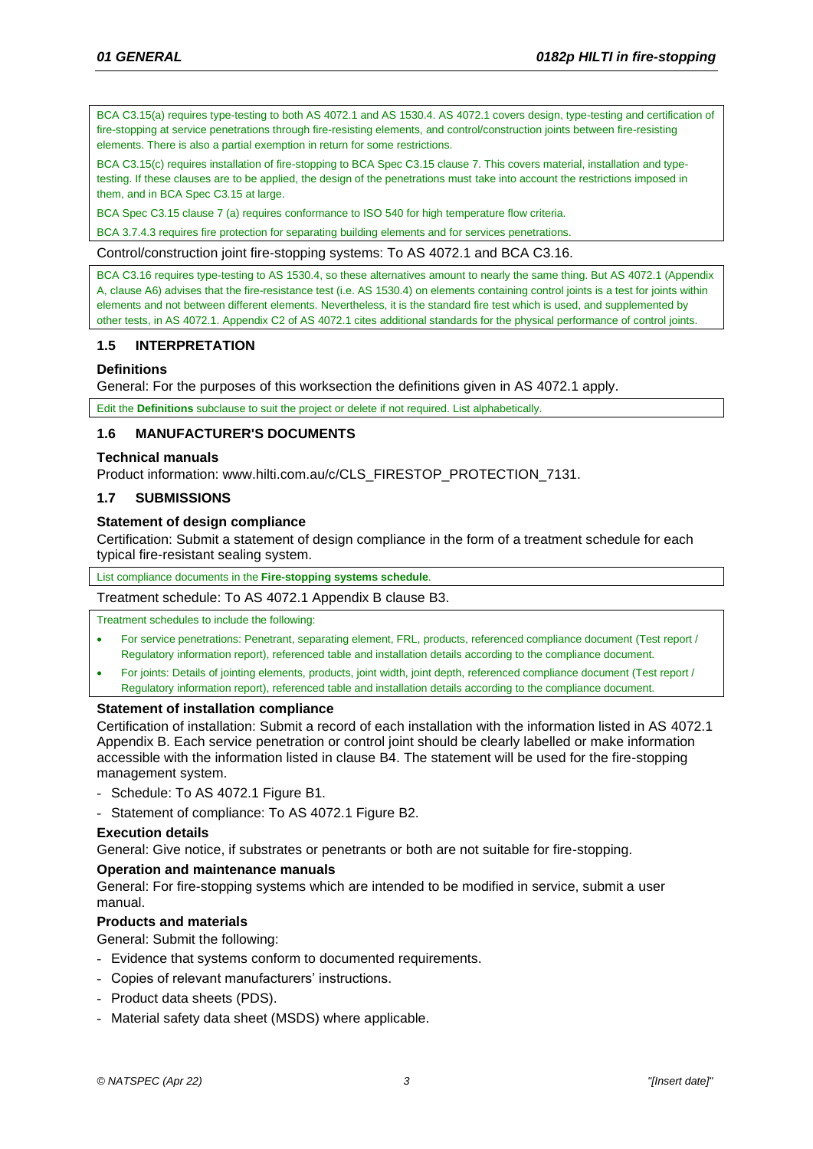BCA C3.15(a) requires type-testing to both AS 4072.1 and AS 1530.4. AS 4072.1 covers design, type-testing and certification of fire-stopping at service penetrations through fire-resisting elements, and control/construction joints between fire-resisting elements. There is also a partial exemption in return for some restrictions.

BCA C3.15(c) requires installation of fire-stopping to BCA Spec C3.15 clause 7. This covers material, installation and typetesting. If these clauses are to be applied, the design of the penetrations must take into account the restrictions imposed in them, and in BCA Spec C3.15 at large.

BCA Spec C3.15 clause 7 (a) requires conformance to ISO 540 for high temperature flow criteria.

BCA 3.7.4.3 requires fire protection for separating building elements and for services penetrations.

Control/construction joint fire-stopping systems: To AS 4072.1 and BCA C3.16.

BCA C3.16 requires type-testing to AS 1530.4, so these alternatives amount to nearly the same thing. But AS 4072.1 (Appendix A, clause A6) advises that the fire-resistance test (i.e. AS 1530.4) on elements containing control joints is a test for joints within elements and not between different elements. Nevertheless, it is the standard fire test which is used, and supplemented by other tests, in AS 4072.1. Appendix C2 of AS 4072.1 cites additional standards for the physical performance of control joints.

# **1.5 INTERPRETATION**

# **Definitions**

General: For the purposes of this worksection the definitions given in AS 4072.1 apply.

Edit the **Definitions** subclause to suit the project or delete if not required. List alphabetically.

# **1.6 MANUFACTURER'S DOCUMENTS**

# **Technical manuals**

Product information: [www.hilti.com.au/c/CLS\\_FIRESTOP\\_PROTECTION\\_7131.](https://www.hilti.com.au/c/CLS_FIRESTOP_PROTECTION_7131)

# **1.7 SUBMISSIONS**

# **Statement of design compliance**

Certification: Submit a statement of design compliance in the form of a treatment schedule for each typical fire-resistant sealing system.

List compliance documents in the **[Fire-stopping systems schedule](#page-11-0)**.

Treatment schedule: To AS 4072.1 Appendix B clause B3.

Treatment schedules to include the following:

- For service penetrations: Penetrant, separating element, FRL, products, referenced compliance document (Test report / Regulatory information report), referenced table and installation details according to the compliance document.
- For joints: Details of jointing elements, products, joint width, joint depth, referenced compliance document (Test report / Regulatory information report), referenced table and installation details according to the compliance document.

# **Statement of installation compliance**

Certification of installation: Submit a record of each installation with the information listed in AS 4072.1 Appendix B. Each service penetration or control joint should be clearly labelled or make information accessible with the information listed in clause B4. The statement will be used for the fire-stopping management system.

- Schedule: To AS 4072.1 Figure B1.
- Statement of compliance: To AS 4072.1 Figure B2.

# **Execution details**

General: Give notice, if substrates or penetrants or both are not suitable for fire-stopping.

# **Operation and maintenance manuals**

General: For fire-stopping systems which are intended to be modified in service, submit a user manual.

# **Products and materials**

General: Submit the following:

- Evidence that systems conform to documented requirements.
- Copies of relevant manufacturers' instructions.
- Product data sheets (PDS).
- Material safety data sheet (MSDS) where applicable.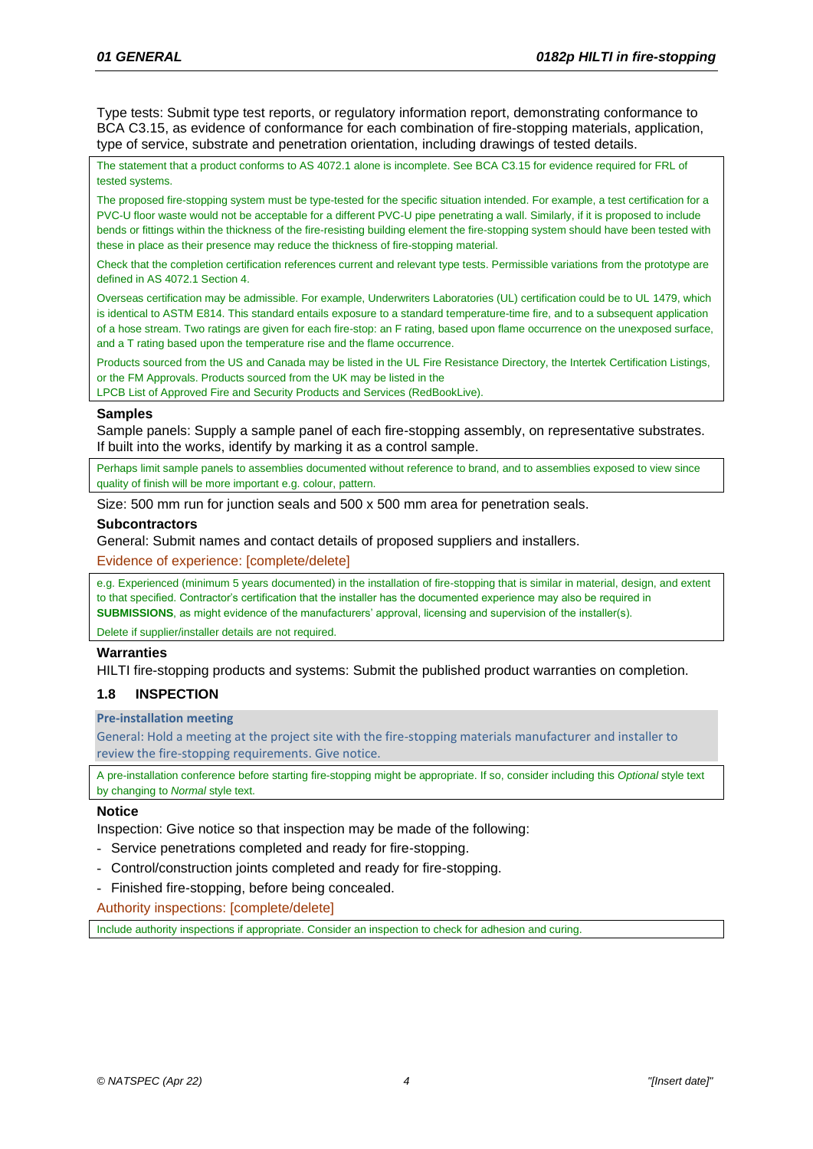Type tests: Submit type test reports, or regulatory information report, demonstrating conformance to BCA C3.15, as evidence of conformance for each combination of fire-stopping materials, application, type of service, substrate and penetration orientation, including drawings of tested details.

The statement that a product conforms to AS 4072.1 alone is incomplete. See BCA C3.15 for evidence required for FRL of tested systems.

The proposed fire-stopping system must be type-tested for the specific situation intended. For example, a test certification for a PVC-U floor waste would not be acceptable for a different PVC-U pipe penetrating a wall. Similarly, if it is proposed to include bends or fittings within the thickness of the fire-resisting building element the fire-stopping system should have been tested with these in place as their presence may reduce the thickness of fire-stopping material.

Check that the completion certification references current and relevant type tests. Permissible variations from the prototype are defined in AS 4072.1 Section 4.

Overseas certification may be admissible. For example, Underwriters Laboratories (UL) certification could be to UL 1479, which is identical to ASTM E814. This standard entails exposure to a standard temperature-time fire, and to a subsequent application of a hose stream. Two ratings are given for each fire-stop: an F rating, based upon flame occurrence on the unexposed surface, and a T rating based upon the temperature rise and the flame occurrence.

Products sourced from the US and Canada may be listed in the UL Fire Resistance Directory, the Intertek Certification Listings, or the FM Approvals. Products sourced from the UK may be listed in the

LPCB List of Approved Fire and Security Products and Services (RedBookLive).

### **Samples**

Sample panels: Supply a sample panel of each fire-stopping assembly, on representative substrates. If built into the works, identify by marking it as a control sample.

Perhaps limit sample panels to assemblies documented without reference to brand, and to assemblies exposed to view since quality of finish will be more important e.g. colour, pattern.

Size: 500 mm run for junction seals and 500 x 500 mm area for penetration seals.

### **Subcontractors**

General: Submit names and contact details of proposed suppliers and installers.

Evidence of experience: [complete/delete]

e.g. Experienced (minimum 5 years documented) in the installation of fire-stopping that is similar in material, design, and extent to that specified. Contractor's certification that the installer has the documented experience may also be required in **SUBMISSIONS**, as might evidence of the manufacturers' approval, licensing and supervision of the installer(s).

Delete if supplier/installer details are not required.

### **Warranties**

HILTI fire-stopping products and systems: Submit the published product warranties on completion.

# **1.8 INSPECTION**

### **Pre-installation meeting**

General: Hold a meeting at the project site with the fire-stopping materials manufacturer and installer to review the fire-stopping requirements. Give notice.

A pre-installation conference before starting fire-stopping might be appropriate. If so, consider including this *Optional* style text by changing to *Normal* style text.

# **Notice**

Inspection: Give notice so that inspection may be made of the following:

- Service penetrations completed and ready for fire-stopping.
- Control/construction joints completed and ready for fire-stopping.
- Finished fire-stopping, before being concealed.

Authority inspections: [complete/delete]

Include authority inspections if appropriate. Consider an inspection to check for adhesion and curing.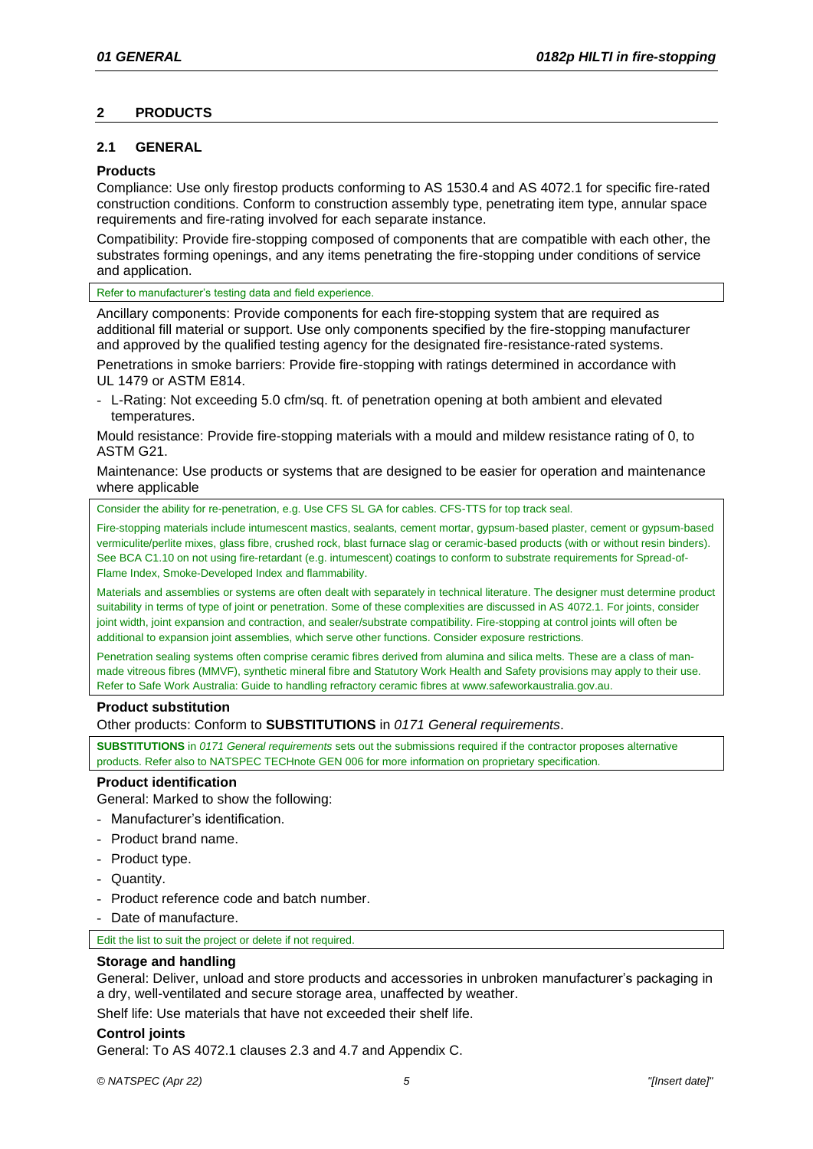# **2 PRODUCTS**

# <span id="page-4-0"></span>**2.1 GENERAL**

# **Products**

Compliance: Use only firestop products conforming to AS 1530.4 and AS 4072.1 for specific fire-rated construction conditions. Conform to construction assembly type, penetrating item type, annular space requirements and fire-rating involved for each separate instance.

Compatibility: Provide fire-stopping composed of components that are compatible with each other, the substrates forming openings, and any items penetrating the fire-stopping under conditions of service and application.

Refer to manufacturer's testing data and field experience.

Ancillary components: Provide components for each fire-stopping system that are required as additional fill material or support. Use only components specified by the fire-stopping manufacturer and approved by the qualified testing agency for the designated fire-resistance-rated systems.

Penetrations in smoke barriers: Provide fire-stopping with ratings determined in accordance with UL 1479 or ASTM E814.

- L-Rating: Not exceeding 5.0 cfm/sq. ft. of penetration opening at both ambient and elevated temperatures.

Mould resistance: Provide fire-stopping materials with a mould and mildew resistance rating of 0, to ASTM G21.

Maintenance: Use products or systems that are designed to be easier for operation and maintenance where applicable

Consider the ability for re-penetration, e.g. Use CFS SL GA for cables. CFS-TTS for top track seal.

Fire-stopping materials include intumescent mastics, sealants, cement mortar, gypsum-based plaster, cement or gypsum-based vermiculite/perlite mixes, glass fibre, crushed rock, blast furnace slag or ceramic-based products (with or without resin binders). See BCA C1.10 on not using fire-retardant (e.g. intumescent) coatings to conform to substrate requirements for Spread-of-Flame Index, Smoke-Developed Index and flammability.

Materials and assemblies or systems are often dealt with separately in technical literature. The designer must determine product suitability in terms of type of joint or penetration. Some of these complexities are discussed in AS 4072.1. For joints, consider joint width, joint expansion and contraction, and sealer/substrate compatibility. Fire-stopping at control joints will often be additional to expansion joint assemblies, which serve other functions. Consider exposure restrictions.

Penetration sealing systems often comprise ceramic fibres derived from alumina and silica melts. These are a class of manmade vitreous fibres (MMVF), synthetic mineral fibre and Statutory Work Health and Safety provisions may apply to their use. Refer to Safe Work Australia: Guide to handling refractory ceramic fibres a[t www.safeworkaustralia.gov.au.](http://www.safeworkaustralia.gov.au/)

# **Product substitution**

Other products: Conform to **SUBSTITUTIONS** in *0171 General requirements*.

**SUBSTITUTIONS** in *0171 General requirements* sets out the submissions required if the contractor proposes alternative products. Refer also to NATSPEC TECHnote GEN 006 for more information on proprietary specification.

# **Product identification**

General: Marked to show the following:

- Manufacturer's identification.
- Product brand name.
- Product type.
- Quantity.
- Product reference code and batch number.
- Date of manufacture.

Edit the list to suit the project or delete if not required.

# **Storage and handling**

General: Deliver, unload and store products and accessories in unbroken manufacturer's packaging in a dry, well-ventilated and secure storage area, unaffected by weather.

Shelf life: Use materials that have not exceeded their shelf life.

# **Control joints**

General: To AS 4072.1 clauses 2.3 and 4.7 and Appendix C.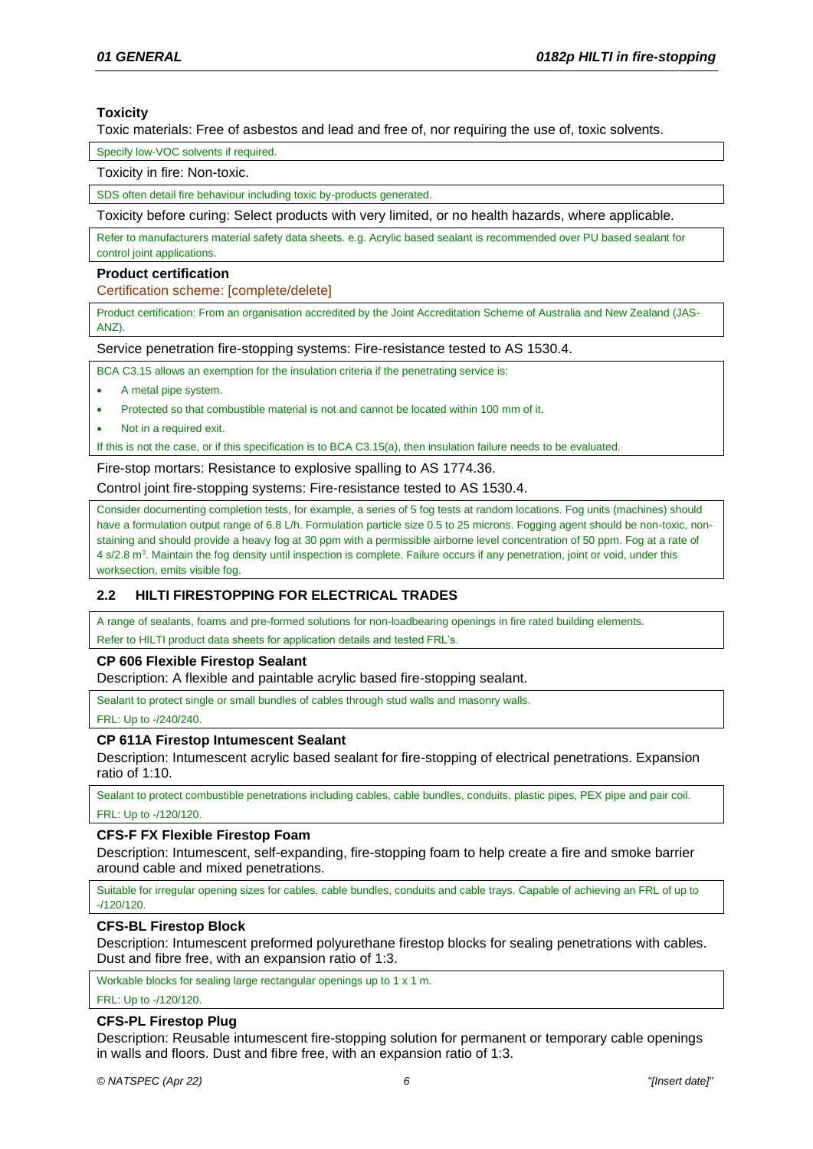# **Toxicity**

Toxic materials: Free of asbestos and lead and free of, nor requiring the use of, toxic solvents.

Specify low-VOC solvents if required.

Toxicity in fire: Non-toxic.

SDS often detail fire behaviour including toxic by-products generated.

Toxicity before curing: Select products with very limited, or no health hazards, where applicable.

Refer to manufacturers material safety data sheets. e.g. Acrylic based sealant is recommended over PU based sealant for control joint applications.

### <span id="page-5-0"></span>**Product certification**

Certification scheme: [complete/delete]

Product certification: From an organisation accredited by the Joint Accreditation Scheme of Australia and New Zealand (JAS-ANZ).

Service penetration fire-stopping systems: Fire-resistance tested to AS 1530.4.

BCA C3.15 allows an exemption for the insulation criteria if the penetrating service is:

- A metal pipe system.
- Protected so that combustible material is not and cannot be located within 100 mm of it.
- Not in a required exit.

If this is not the case, or if this specification is to BCA C3.15(a), then insulation failure needs to be evaluated.

Fire-stop mortars: Resistance to explosive spalling to AS 1774.36.

Control joint fire-stopping systems: Fire-resistance tested to AS 1530.4.

Consider documenting completion tests, for example, a series of 5 fog tests at random locations. Fog units (machines) should have a formulation output range of 6.8 L/h. Formulation particle size 0.5 to 25 microns. Fogging agent should be non-toxic, nonstaining and should provide a heavy fog at 30 ppm with a permissible airborne level concentration of 50 ppm. Fog at a rate of 4 s/2.8 m<sup>3</sup>. Maintain the fog density until inspection is complete. Failure occurs if any penetration, joint or void, under this worksection, emits visible fog.

# **2.2 HILTI FIRESTOPPING FOR ELECTRICAL TRADES**

A range of sealants, foams and pre-formed solutions for non-loadbearing openings in fire rated building elements.

Refer to HILTI product data sheets for application details and tested FRL's.

# **CP 606 Flexible Firestop Sealant**

Description: A flexible and paintable acrylic based fire-stopping sealant.

Sealant to protect single or small bundles of cables through stud walls and masonry walls.

FRL: Up to -/240/240.

# **CP 611A Firestop Intumescent Sealant**

Description: Intumescent acrylic based sealant for fire-stopping of electrical penetrations. Expansion ratio of 1:10.

Sealant to protect combustible penetrations including cables, cable bundles, conduits, plastic pipes, PEX pipe and pair coil. FRL: Up to -/120/120.

# **CFS-F FX Flexible Firestop Foam**

Description: Intumescent, self-expanding, fire-stopping foam to help create a fire and smoke barrier around cable and mixed penetrations.

Suitable for irregular opening sizes for cables, cable bundles, conduits and cable trays. Capable of achieving an FRL of up to ‑/120/120.

# **CFS-BL Firestop Block**

Description: Intumescent preformed polyurethane firestop blocks for sealing penetrations with cables. Dust and fibre free, with an expansion ratio of 1:3.

Workable blocks for sealing large rectangular openings up to 1 x 1 m.

FRL: Up to -/120/120.

# **CFS-PL Firestop Plug**

Description: Reusable intumescent fire-stopping solution for permanent or temporary cable openings in walls and floors. Dust and fibre free, with an expansion ratio of 1:3.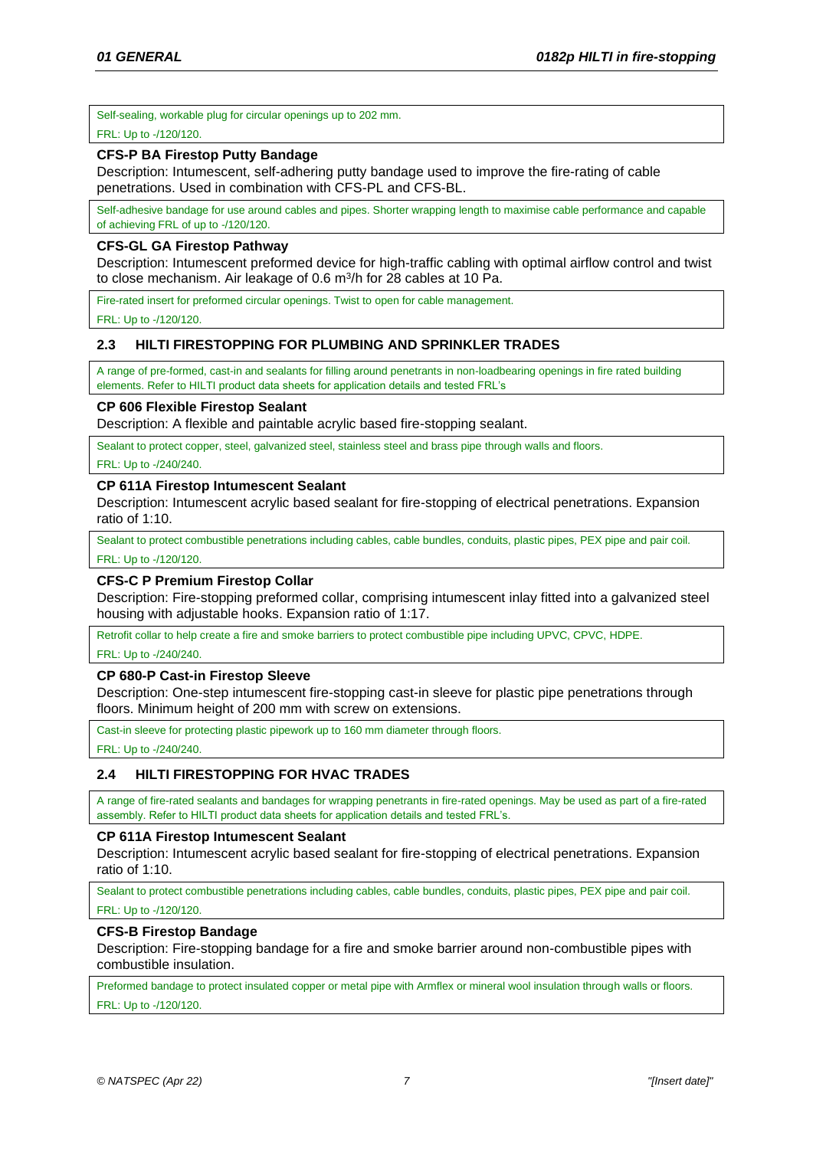Self-sealing, workable plug for circular openings up to 202 mm.

### FRL: Up to -/120/120.

# **CFS-P BA Firestop Putty Bandage**

Description: Intumescent, self-adhering putty bandage used to improve the fire-rating of cable penetrations. Used in combination with CFS-PL and CFS-BL.

Self-adhesive bandage for use around cables and pipes. Shorter wrapping length to maximise cable performance and capable of achieving FRL of up to -/120/120.

# **CFS-GL GA Firestop Pathway**

Description: Intumescent preformed device for high-traffic cabling with optimal airflow control and twist to close mechanism. Air leakage of 0.6 m<sup>3</sup>/h for 28 cables at 10 Pa.

Fire-rated insert for preformed circular openings. Twist to open for cable management.

FRL: Up to -/120/120.

# **2.3 HILTI FIRESTOPPING FOR PLUMBING AND SPRINKLER TRADES**

A range of pre-formed, cast-in and sealants for filling around penetrants in non-loadbearing openings in fire rated building elements. Refer to HILTI product data sheets for application details and tested FRL's

### **CP 606 Flexible Firestop Sealant**

Description: A flexible and paintable acrylic based fire-stopping sealant.

Sealant to protect copper, steel, galvanized steel, stainless steel and brass pipe through walls and floors.

### FRL: Up to -/240/240.

### **CP 611A Firestop Intumescent Sealant**

Description: Intumescent acrylic based sealant for fire-stopping of electrical penetrations. Expansion ratio of 1:10.

Sealant to protect combustible penetrations including cables, cable bundles, conduits, plastic pipes, PEX pipe and pair coil. FRL: Up to -/120/120.

# **CFS-C P Premium Firestop Collar**

Description: Fire-stopping preformed collar, comprising intumescent inlay fitted into a galvanized steel housing with adjustable hooks. Expansion ratio of 1:17.

Retrofit collar to help create a fire and smoke barriers to protect combustible pipe including UPVC, CPVC, HDPE.

FRL: Up to -/240/240.

### **CP 680-P Cast-in Firestop Sleeve**

Description: One-step intumescent fire-stopping cast-in sleeve for plastic pipe penetrations through floors. Minimum height of 200 mm with screw on extensions.

Cast-in sleeve for protecting plastic pipework up to 160 mm diameter through floors.

FRL: Up to -/240/240.

# **2.4 HILTI FIRESTOPPING FOR HVAC TRADES**

A range of fire-rated sealants and bandages for wrapping penetrants in fire-rated openings. May be used as part of a fire-rated assembly. Refer to HILTI product data sheets for application details and tested FRL's.

### **CP 611A Firestop Intumescent Sealant**

Description: Intumescent acrylic based sealant for fire-stopping of electrical penetrations. Expansion ratio of 1:10.

Sealant to protect combustible penetrations including cables, cable bundles, conduits, plastic pipes, PEX pipe and pair coil. FRL: Up to -/120/120.

# **CFS-B Firestop Bandage**

Description: Fire-stopping bandage for a fire and smoke barrier around non-combustible pipes with combustible insulation.

Preformed bandage to protect insulated copper or metal pipe with Armflex or mineral wool insulation through walls or floors. FRL: Up to -/120/120.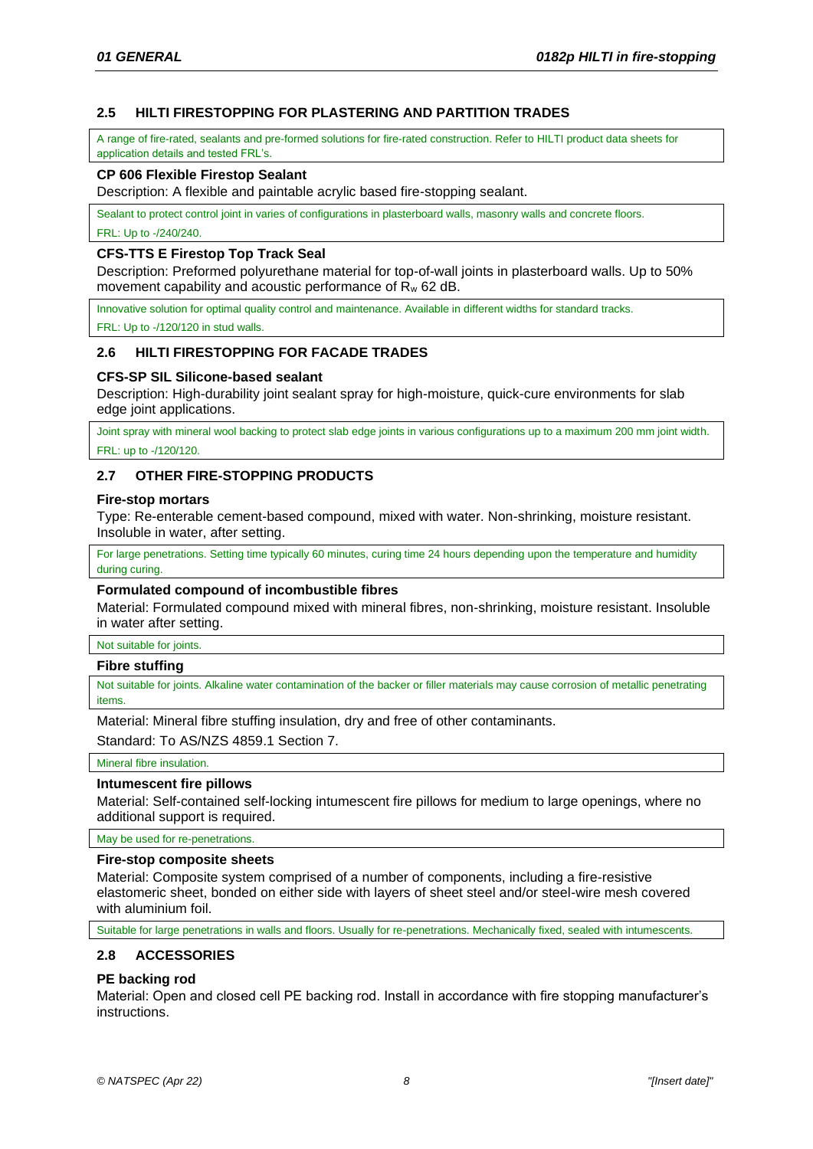# **2.5 HILTI FIRESTOPPING FOR PLASTERING AND PARTITION TRADES**

A range of fire-rated, sealants and pre-formed solutions for fire-rated construction. Refer to HILTI product data sheets for application details and tested FRL's.

# **CP 606 Flexible Firestop Sealant**

Description: A flexible and paintable acrylic based fire-stopping sealant.

Sealant to protect control joint in varies of configurations in plasterboard walls, masonry walls and concrete floors.

FRL: Up to -/240/240.

## **CFS-TTS E Firestop Top Track Seal**

Description: Preformed polyurethane material for top-of-wall joints in plasterboard walls. Up to 50% movement capability and acoustic performance of R<sup>w</sup> 62 dB.

Innovative solution for optimal quality control and maintenance. Available in different widths for standard tracks.

FRL: Up to -/120/120 in stud walls.

# **2.6 HILTI FIRESTOPPING FOR FACADE TRADES**

# **CFS-SP SIL Silicone-based sealant**

Description: High-durability joint sealant spray for high-moisture, quick-cure environments for slab edge joint applications.

Joint spray with mineral wool backing to protect slab edge joints in various configurations up to a maximum 200 mm joint width. FRL: up to -/120/120.

# **2.7 OTHER FIRE-STOPPING PRODUCTS**

### **Fire-stop mortars**

Type: Re-enterable cement-based compound, mixed with water. Non-shrinking, moisture resistant. Insoluble in water, after setting.

For large penetrations. Setting time typically 60 minutes, curing time 24 hours depending upon the temperature and humidity during curing.

## **Formulated compound of incombustible fibres**

Material: Formulated compound mixed with mineral fibres, non-shrinking, moisture resistant. Insoluble in water after setting.

### Not suitable for joints.

### **Fibre stuffing**

Not suitable for joints. Alkaline water contamination of the backer or filler materials may cause corrosion of metallic penetrating items.

Material: Mineral fibre stuffing insulation, dry and free of other contaminants.

Standard: To AS/NZS 4859.1 Section 7.

Mineral fibre insulation.

# **Intumescent fire pillows**

Material: Self-contained self-locking intumescent fire pillows for medium to large openings, where no additional support is required.

### May be used for re-penetrations.

### **Fire-stop composite sheets**

Material: Composite system comprised of a number of components, including a fire-resistive elastomeric sheet, bonded on either side with layers of sheet steel and/or steel-wire mesh covered with aluminium foil.

Suitable for large penetrations in walls and floors. Usually for re-penetrations. Mechanically fixed, sealed with intumescents.

# **2.8 ACCESSORIES**

# **PE backing rod**

Material: Open and closed cell PE backing rod. Install in accordance with fire stopping manufacturer's instructions.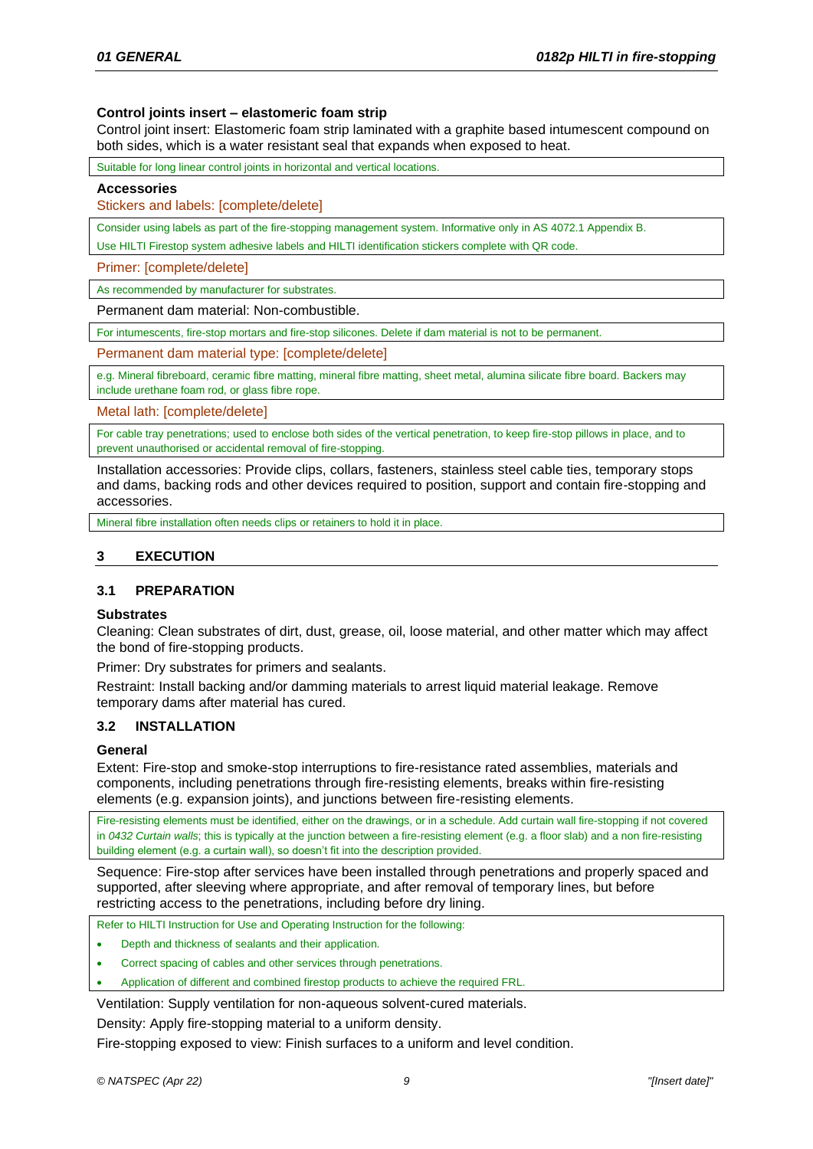# **Control joints insert – elastomeric foam strip**

Control joint insert: Elastomeric foam strip laminated with a graphite based intumescent compound on both sides, which is a water resistant seal that expands when exposed to heat.

Suitable for long linear control joints in horizontal and vertical locations.

### **Accessories**

Stickers and labels: [complete/delete]

Consider using labels as part of the fire-stopping management system. Informative only in AS 4072.1 Appendix B.

Use HILTI Firestop system adhesive labels and HILTI identification stickers complete with QR code.

Primer: [complete/delete]

As recommended by manufacturer for substrates

Permanent dam material: Non-combustible.

For intumescents, fire-stop mortars and fire-stop silicones. Delete if dam material is not to be permanent.

Permanent dam material type: [complete/delete]

e.g. Mineral fibreboard, ceramic fibre matting, mineral fibre matting, sheet metal, alumina silicate fibre board. Backers may include urethane foam rod, or glass fibre rope.

Metal lath: [complete/delete]

For cable tray penetrations; used to enclose both sides of the vertical penetration, to keep fire-stop pillows in place, and to prevent unauthorised or accidental removal of fire-stopping.

Installation accessories: Provide clips, collars, fasteners, stainless steel cable ties, temporary stops and dams, backing rods and other devices required to position, support and contain fire-stopping and accessories.

Mineral fibre installation often needs clips or retainers to hold it in place.

# **3 EXECUTION**

# **3.1 PREPARATION**

### **Substrates**

Cleaning: Clean substrates of dirt, dust, grease, oil, loose material, and other matter which may affect the bond of fire-stopping products.

Primer: Dry substrates for primers and sealants.

Restraint: Install backing and/or damming materials to arrest liquid material leakage. Remove temporary dams after material has cured.

### **3.2 INSTALLATION**

### **General**

Extent: Fire-stop and smoke-stop interruptions to fire-resistance rated assemblies, materials and components, including penetrations through fire-resisting elements, breaks within fire-resisting elements (e.g. expansion joints), and junctions between fire-resisting elements.

Fire-resisting elements must be identified, either on the drawings, or in a schedule. Add curtain wall fire-stopping if not covered in *0432 Curtain walls*; this is typically at the junction between a fire-resisting element (e.g. a floor slab) and a non fire-resisting building element (e.g. a curtain wall), so doesn't fit into the description provided.

Sequence: Fire-stop after services have been installed through penetrations and properly spaced and supported, after sleeving where appropriate, and after removal of temporary lines, but before restricting access to the penetrations, including before dry lining.

Refer to HILTI Instruction for Use and Operating Instruction for the following:

- Depth and thickness of sealants and their application.
- Correct spacing of cables and other services through penetrations.
- Application of different and combined firestop products to achieve the required FRL.

Ventilation: Supply ventilation for non-aqueous solvent-cured materials.

Density: Apply fire-stopping material to a uniform density.

Fire-stopping exposed to view: Finish surfaces to a uniform and level condition.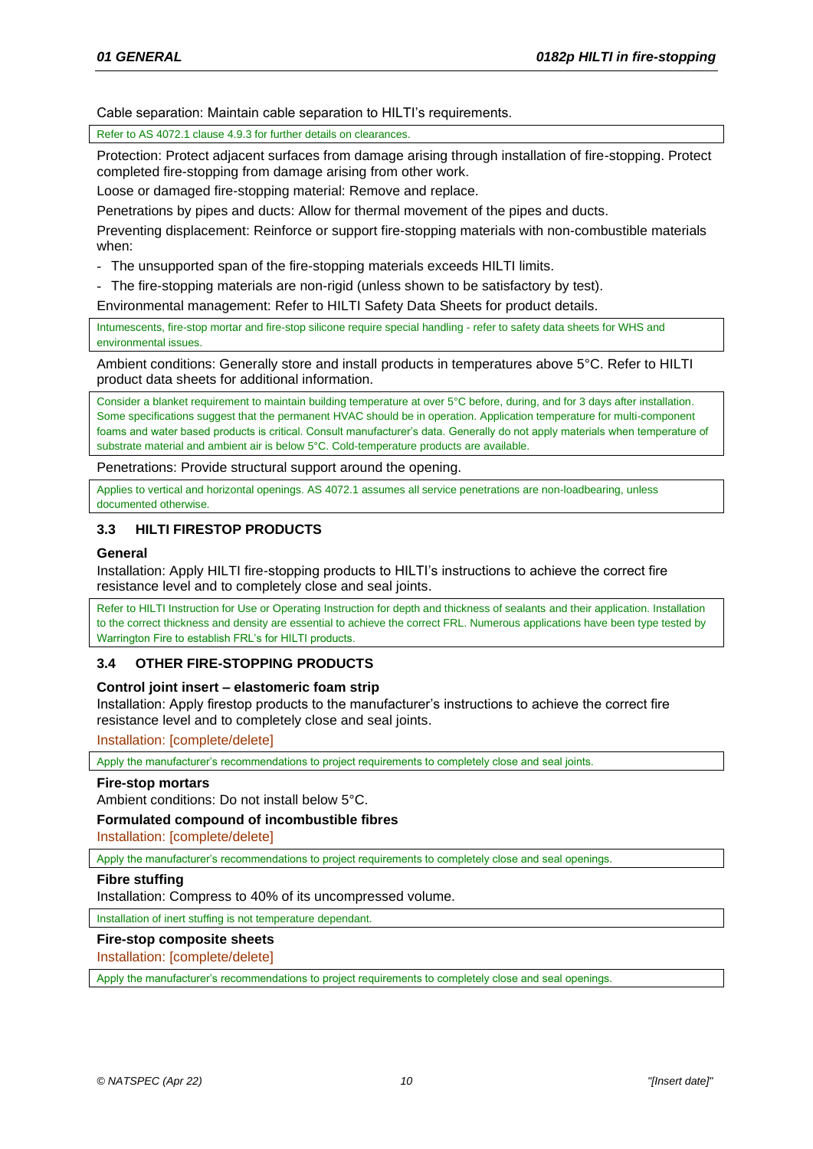Cable separation: Maintain cable separation to HILTI's requirements.

Refer to AS 4072.1 clause 4.9.3 for further details on clearances.

Protection: Protect adjacent surfaces from damage arising through installation of fire-stopping. Protect completed fire-stopping from damage arising from other work.

Loose or damaged fire-stopping material: Remove and replace.

Penetrations by pipes and ducts: Allow for thermal movement of the pipes and ducts.

Preventing displacement: Reinforce or support fire-stopping materials with non-combustible materials when:

- The unsupported span of the fire-stopping materials exceeds HILTI limits.
- The fire-stopping materials are non-rigid (unless shown to be satisfactory by test).
- Environmental management: Refer to HILTI Safety Data Sheets for product details.

Intumescents, fire-stop mortar and fire-stop silicone require special handling - refer to safety data sheets for WHS and environmental issues.

Ambient conditions: Generally store and install products in temperatures above 5°C. Refer to HILTI product data sheets for additional information.

Consider a blanket requirement to maintain building temperature at over 5°C before, during, and for 3 days after installation. Some specifications suggest that the permanent HVAC should be in operation. Application temperature for multi-component foams and water based products is critical. Consult manufacturer's data. Generally do not apply materials when temperature of substrate material and ambient air is below 5°C. Cold-temperature products are available.

Penetrations: Provide structural support around the opening.

Applies to vertical and horizontal openings. AS 4072.1 assumes all service penetrations are non-loadbearing, unless documented otherwise.

# **3.3 HILTI FIRESTOP PRODUCTS**

# **General**

Installation: Apply HILTI fire-stopping products to HILTI's instructions to achieve the correct fire resistance level and to completely close and seal joints.

Refer to HILTI Instruction for Use or Operating Instruction for depth and thickness of sealants and their application. Installation to the correct thickness and density are essential to achieve the correct FRL. Numerous applications have been type tested by Warrington Fire to establish FRL's for HILTI products.

# **3.4 OTHER FIRE-STOPPING PRODUCTS**

# **Control joint insert – elastomeric foam strip**

Installation: Apply firestop products to the manufacturer's instructions to achieve the correct fire resistance level and to completely close and seal joints.

Installation: [complete/delete]

Apply the manufacturer's recommendations to project requirements to completely close and seal joints.

# **Fire-stop mortars**

Ambient conditions: Do not install below 5°C.

# **Formulated compound of incombustible fibres**

Installation: [complete/delete]

Apply the manufacturer's recommendations to project requirements to completely close and seal openings.

# **Fibre stuffing**

Installation: Compress to 40% of its uncompressed volume.

Installation of inert stuffing is not temperature dependant.

# **Fire-stop composite sheets**

Installation: [complete/delete]

Apply the manufacturer's recommendations to project requirements to completely close and seal openings.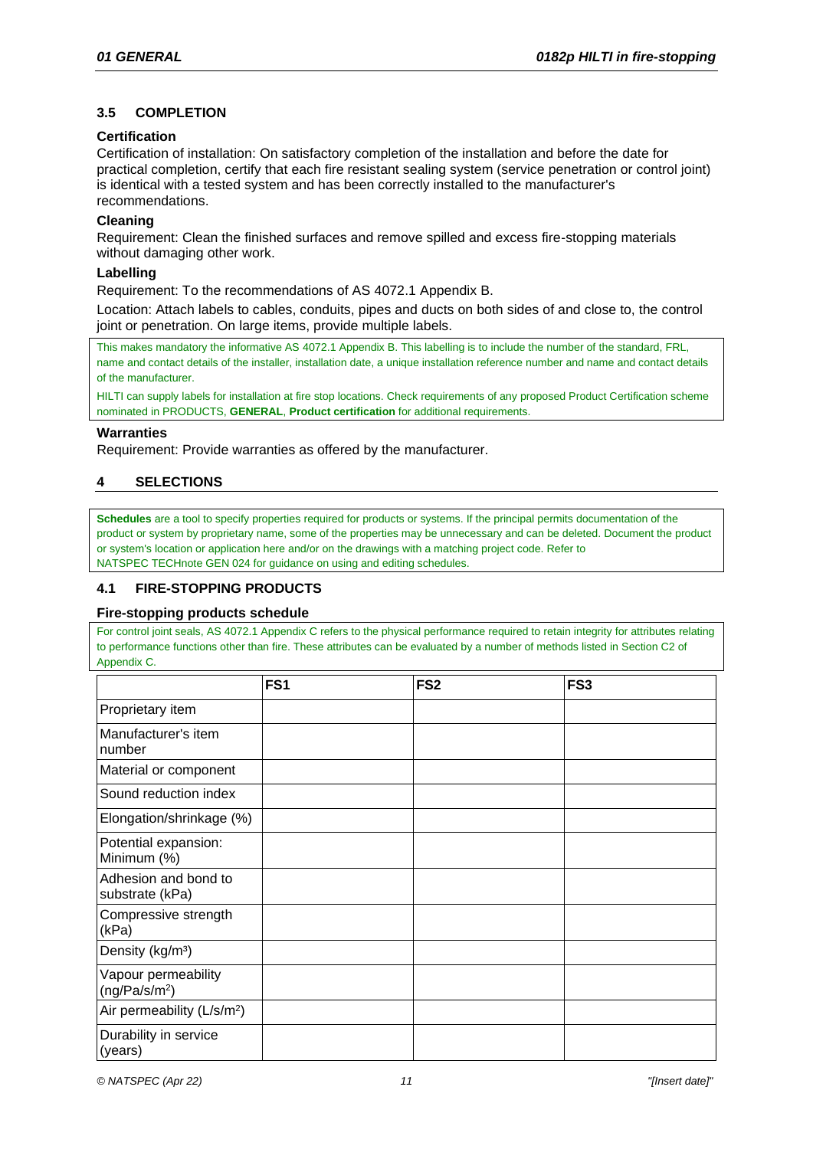# **3.5 COMPLETION**

# **Certification**

Certification of installation: On satisfactory completion of the installation and before the date for practical completion, certify that each fire resistant sealing system (service penetration or control joint) is identical with a tested system and has been correctly installed to the manufacturer's recommendations.

# **Cleaning**

Requirement: Clean the finished surfaces and remove spilled and excess fire-stopping materials without damaging other work.

# **Labelling**

Requirement: To the recommendations of AS 4072.1 Appendix B.

Location: Attach labels to cables, conduits, pipes and ducts on both sides of and close to, the control joint or penetration. On large items, provide multiple labels.

This makes mandatory the informative AS 4072.1 Appendix B. This labelling is to include the number of the standard, FRL, name and contact details of the installer, installation date, a unique installation reference number and name and contact details of the manufacturer.

HILTI can supply labels for installation at fire stop locations. Check requirements of any proposed Product Certification scheme nominated in PRODUCTS, **[GENERAL](#page-4-0)**, **[Product certification](#page-5-0)** for additional requirements.

### **Warranties**

Requirement: Provide warranties as offered by the manufacturer.

# **4 SELECTIONS**

**Schedules** are a tool to specify properties required for products or systems. If the principal permits documentation of the product or system by proprietary name, some of the properties may be unnecessary and can be deleted. Document the product or system's location or application here and/or on the drawings with a matching project code. Refer to NATSPEC TECHnote GEN 024 for guidance on using and editing schedules.

# **4.1 FIRE-STOPPING PRODUCTS**

# <span id="page-10-0"></span>**Fire-stopping products schedule**

For control joint seals, AS 4072.1 Appendix C refers to the physical performance required to retain integrity for attributes relating to performance functions other than fire. These attributes can be evaluated by a number of methods listed in Section C2 of Appendix C.

|                                                  | FS <sub>1</sub> | FS <sub>2</sub> | FS <sub>3</sub> |
|--------------------------------------------------|-----------------|-----------------|-----------------|
| Proprietary item                                 |                 |                 |                 |
| Manufacturer's item<br>number                    |                 |                 |                 |
| Material or component                            |                 |                 |                 |
| Sound reduction index                            |                 |                 |                 |
| Elongation/shrinkage (%)                         |                 |                 |                 |
| Potential expansion:<br>Minimum (%)              |                 |                 |                 |
| Adhesion and bond to<br>substrate (kPa)          |                 |                 |                 |
| Compressive strength<br>(kPa)                    |                 |                 |                 |
| Density (kg/m <sup>3</sup> )                     |                 |                 |                 |
| Vapour permeability<br>(ng/Pa/s/m <sup>2</sup> ) |                 |                 |                 |
| Air permeability (L/s/m <sup>2</sup> )           |                 |                 |                 |
| Durability in service<br>(years)                 |                 |                 |                 |

*© NATSPEC (Apr 22) 11 "[Insert date]"*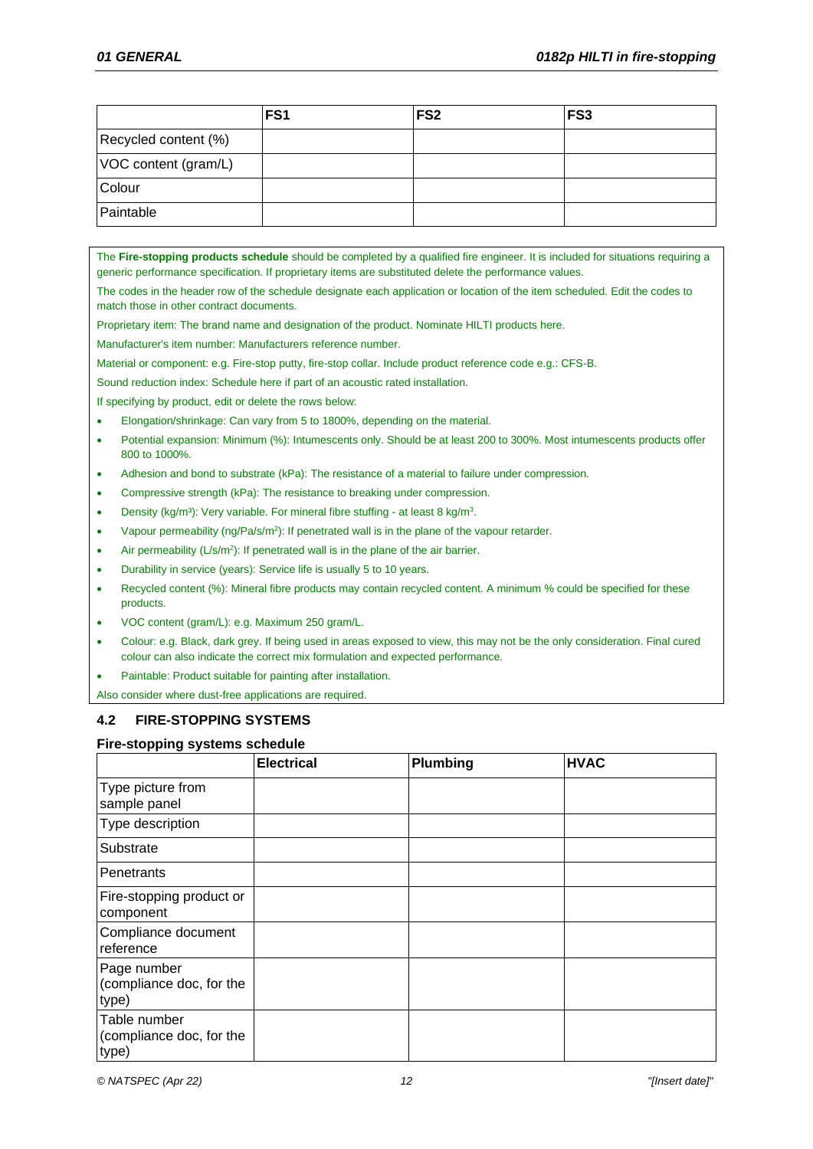|                      | FS <sub>1</sub> | FS <sub>2</sub> | FS <sub>3</sub> |
|----------------------|-----------------|-----------------|-----------------|
| Recycled content (%) |                 |                 |                 |
| VOC content (gram/L) |                 |                 |                 |
| Colour               |                 |                 |                 |
| Paintable            |                 |                 |                 |

The **[Fire-stopping products schedule](#page-10-0)** should be completed by a qualified fire engineer. It is included for situations requiring a generic performance specification. If proprietary items are substituted delete the performance values.

The codes in the header row of the schedule designate each application or location of the item scheduled. Edit the codes to match those in other contract documents.

Proprietary item: The brand name and designation of the product. Nominate HILTI products here.

Manufacturer's item number: Manufacturers reference number.

Material or component: e.g. Fire-stop putty, fire-stop collar. Include product reference code e.g.: CFS-B.

Sound reduction index: Schedule here if part of an acoustic rated installation.

If specifying by product, edit or delete the rows below:

- Elongation/shrinkage: Can vary from 5 to 1800%, depending on the material.
- Potential expansion: Minimum (%): Intumescents only. Should be at least 200 to 300%. Most intumescents products offer 800 to 1000%.
- Adhesion and bond to substrate (kPa): The resistance of a material to failure under compression.
- Compressive strength (kPa): The resistance to breaking under compression.
- Density (kg/m<sup>3</sup>): Very variable. For mineral fibre stuffing at least 8 kg/m<sup>3</sup>.
- Vapour permeability  $(ng/Pa/s/m<sup>2</sup>)$ : If penetrated wall is in the plane of the vapour retarder.
- Air permeability  $(L/s/m^2)$ : If penetrated wall is in the plane of the air barrier.
- Durability in service (years): Service life is usually 5 to 10 years.
- Recycled content (%): Mineral fibre products may contain recycled content. A minimum % could be specified for these products.
- VOC content (gram/L): e.g. Maximum 250 gram/L.
- Colour: e.g. Black, dark grey. If being used in areas exposed to view, this may not be the only consideration. Final cured colour can also indicate the correct mix formulation and expected performance.
- Paintable: Product suitable for painting after installation.

Also consider where dust-free applications are required.

# **4.2 FIRE-STOPPING SYSTEMS**

### <span id="page-11-0"></span>**Fire-stopping systems schedule**

|                                                   | <b>Electrical</b> | <b>Plumbing</b> | <b>HVAC</b> |
|---------------------------------------------------|-------------------|-----------------|-------------|
| Type picture from<br>sample panel                 |                   |                 |             |
| Type description                                  |                   |                 |             |
| Substrate                                         |                   |                 |             |
| Penetrants                                        |                   |                 |             |
| Fire-stopping product or<br>component             |                   |                 |             |
| Compliance document<br>reference                  |                   |                 |             |
| Page number<br>(compliance doc, for the<br>type)  |                   |                 |             |
| Table number<br>(compliance doc, for the<br>type) |                   |                 |             |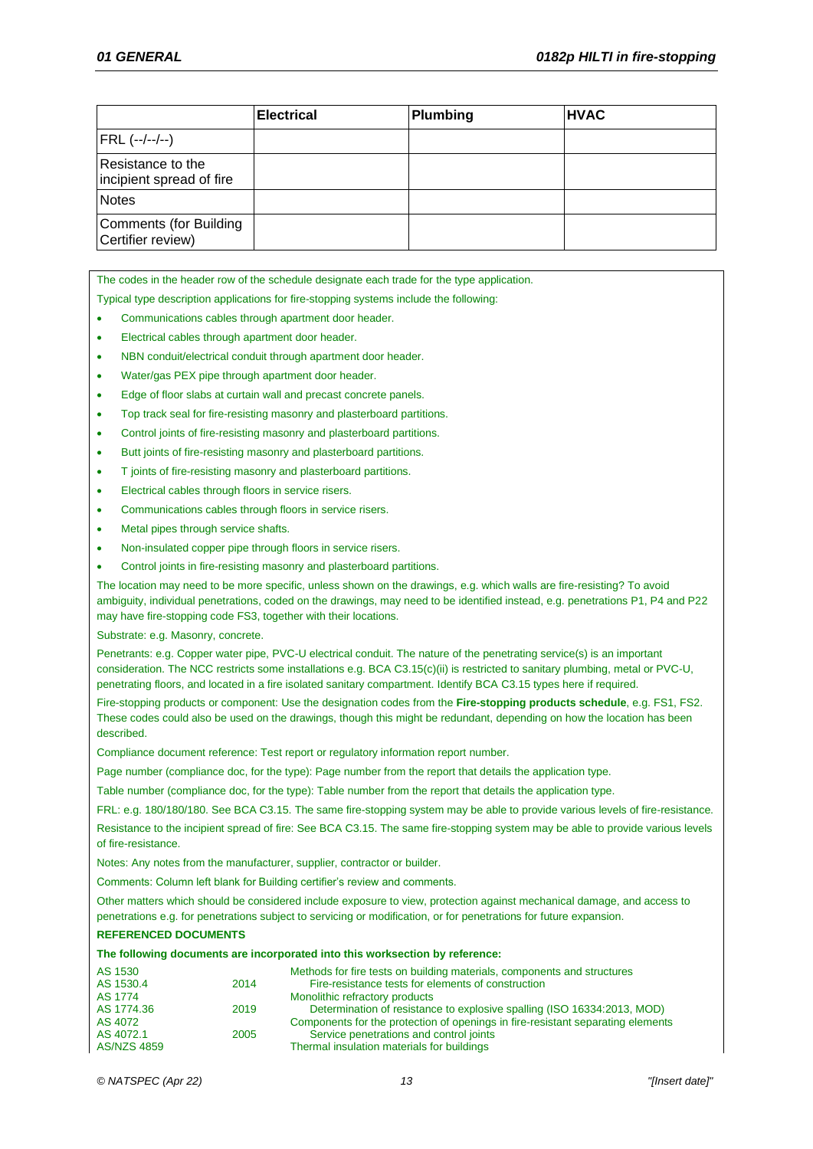|                                               | <b>Electrical</b> | Plumbing | <b>HVAC</b> |
|-----------------------------------------------|-------------------|----------|-------------|
| FRL (--/--/--)                                |                   |          |             |
| Resistance to the<br>incipient spread of fire |                   |          |             |
| <b>Notes</b>                                  |                   |          |             |
| Comments (for Building<br>Certifier review)   |                   |          |             |

The codes in the header row of the schedule designate each trade for the type application.

Typical type description applications for fire-stopping systems include the following:

- Communications cables through apartment door header.
- Electrical cables through apartment door header.
- NBN conduit/electrical conduit through apartment door header.
- Water/gas PEX pipe through apartment door header.
- Edge of floor slabs at curtain wall and precast concrete panels.
- Top track seal for fire-resisting masonry and plasterboard partitions.
- Control joints of fire-resisting masonry and plasterboard partitions.
- Butt joints of fire-resisting masonry and plasterboard partitions.
- T joints of fire-resisting masonry and plasterboard partitions.
- Electrical cables through floors in service risers.
- Communications cables through floors in service risers.
- Metal pipes through service shafts.
- Non-insulated copper pipe through floors in service risers.
- Control joints in fire-resisting masonry and plasterboard partitions.

The location may need to be more specific, unless shown on the drawings, e.g. which walls are fire-resisting? To avoid ambiguity, individual penetrations, coded on the drawings, may need to be identified instead, e.g. penetrations P1, P4 and P22 may have fire-stopping code FS3, together with their locations.

Substrate: e.g. Masonry, concrete.

Penetrants: e.g. Copper water pipe, PVC-U electrical conduit. The nature of the penetrating service(s) is an important consideration. The NCC restricts some installations e.g. BCA C3.15(c)(ii) is restricted to sanitary plumbing, metal or PVC-U, penetrating floors, and located in a fire isolated sanitary compartment. Identify BCA C3.15 types here if required.

Fire-stopping products or component: Use the designation codes from the **[Fire-stopping products schedule](#page-10-0)**, e.g. FS1, FS2. These codes could also be used on the drawings, though this might be redundant, depending on how the location has been described.

Compliance document reference: Test report or regulatory information report number.

Page number (compliance doc, for the type): Page number from the report that details the application type.

Table number (compliance doc, for the type): Table number from the report that details the application type.

FRL: e.g. 180/180/180. See BCA C3.15. The same fire-stopping system may be able to provide various levels of fire-resistance.

Resistance to the incipient spread of fire: See BCA C3.15. The same fire-stopping system may be able to provide various levels of fire-resistance.

Notes: Any notes from the manufacturer, supplier, contractor or builder.

Comments: Column left blank for Building certifier's review and comments.

Other matters which should be considered include exposure to view, protection against mechanical damage, and access to penetrations e.g. for penetrations subject to servicing or modification, or for penetrations for future expansion.

### **REFERENCED DOCUMENTS**

### **The following documents are incorporated into this worksection by reference:**

| AS 1530            |      | Methods for fire tests on building materials, components and structures         |
|--------------------|------|---------------------------------------------------------------------------------|
| AS 1530.4          | 2014 | Fire-resistance tests for elements of construction                              |
| AS 1774            |      | Monolithic refractory products                                                  |
| AS 1774.36         | 2019 | Determination of resistance to explosive spalling (ISO 16334:2013, MOD)         |
| AS 4072            |      | Components for the protection of openings in fire-resistant separating elements |
| AS 4072.1          | 2005 | Service penetrations and control joints                                         |
| <b>AS/NZS 4859</b> |      | Thermal insulation materials for buildings                                      |